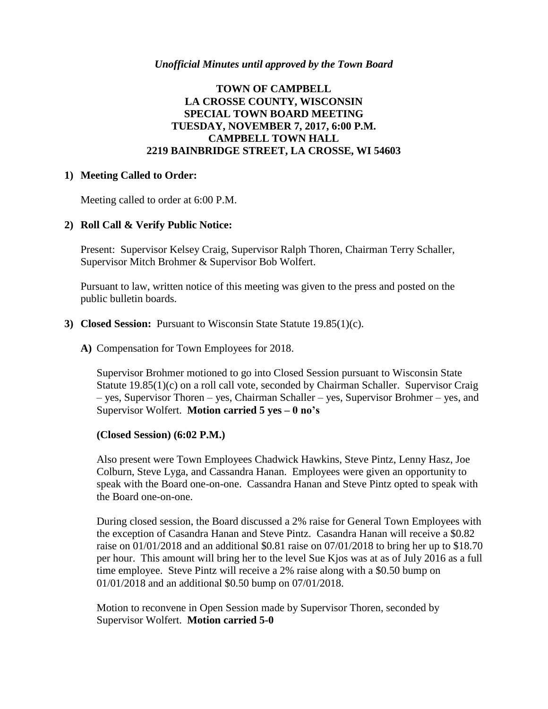# **TOWN OF CAMPBELL LA CROSSE COUNTY, WISCONSIN SPECIAL TOWN BOARD MEETING TUESDAY, NOVEMBER 7, 2017, 6:00 P.M. CAMPBELL TOWN HALL 2219 BAINBRIDGE STREET, LA CROSSE, WI 54603**

### **1) Meeting Called to Order:**

Meeting called to order at 6:00 P.M.

### **2) Roll Call & Verify Public Notice:**

Present: Supervisor Kelsey Craig, Supervisor Ralph Thoren, Chairman Terry Schaller, Supervisor Mitch Brohmer & Supervisor Bob Wolfert.

Pursuant to law, written notice of this meeting was given to the press and posted on the public bulletin boards.

#### **3) Closed Session:** Pursuant to Wisconsin State Statute 19.85(1)(c).

**A)** Compensation for Town Employees for 2018.

Supervisor Brohmer motioned to go into Closed Session pursuant to Wisconsin State Statute 19.85(1)(c) on a roll call vote, seconded by Chairman Schaller. Supervisor Craig – yes, Supervisor Thoren – yes, Chairman Schaller – yes, Supervisor Brohmer – yes, and Supervisor Wolfert. **Motion carried 5 yes – 0 no's**

#### **(Closed Session) (6:02 P.M.)**

Also present were Town Employees Chadwick Hawkins, Steve Pintz, Lenny Hasz, Joe Colburn, Steve Lyga, and Cassandra Hanan. Employees were given an opportunity to speak with the Board one-on-one. Cassandra Hanan and Steve Pintz opted to speak with the Board one-on-one.

During closed session, the Board discussed a 2% raise for General Town Employees with the exception of Casandra Hanan and Steve Pintz. Casandra Hanan will receive a \$0.82 raise on 01/01/2018 and an additional \$0.81 raise on 07/01/2018 to bring her up to \$18.70 per hour. This amount will bring her to the level Sue Kjos was at as of July 2016 as a full time employee. Steve Pintz will receive a 2% raise along with a \$0.50 bump on 01/01/2018 and an additional \$0.50 bump on 07/01/2018.

Motion to reconvene in Open Session made by Supervisor Thoren, seconded by Supervisor Wolfert. **Motion carried 5-0**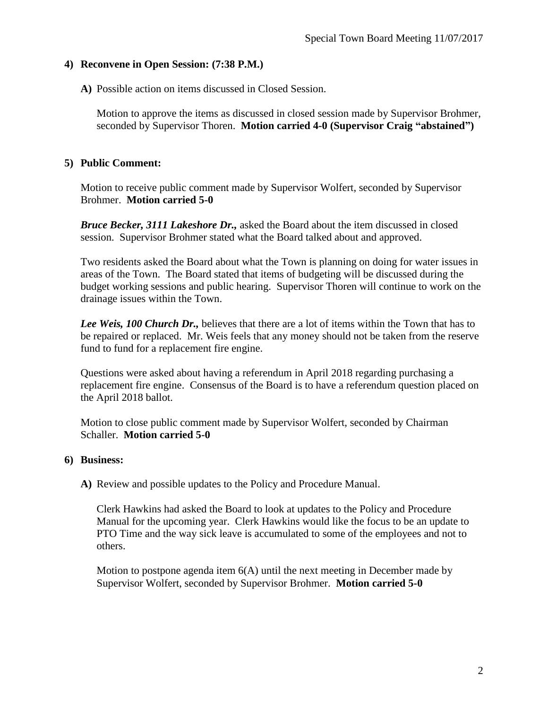### **4) Reconvene in Open Session: (7:38 P.M.)**

**A)** Possible action on items discussed in Closed Session.

Motion to approve the items as discussed in closed session made by Supervisor Brohmer, seconded by Supervisor Thoren. **Motion carried 4-0 (Supervisor Craig "abstained")**

# **5) Public Comment:**

Motion to receive public comment made by Supervisor Wolfert, seconded by Supervisor Brohmer. **Motion carried 5-0**

*Bruce Becker, 3111 Lakeshore Dr.,* asked the Board about the item discussed in closed session. Supervisor Brohmer stated what the Board talked about and approved.

Two residents asked the Board about what the Town is planning on doing for water issues in areas of the Town. The Board stated that items of budgeting will be discussed during the budget working sessions and public hearing. Supervisor Thoren will continue to work on the drainage issues within the Town.

*Lee Weis, 100 Church Dr.,* believes that there are a lot of items within the Town that has to be repaired or replaced. Mr. Weis feels that any money should not be taken from the reserve fund to fund for a replacement fire engine.

Questions were asked about having a referendum in April 2018 regarding purchasing a replacement fire engine. Consensus of the Board is to have a referendum question placed on the April 2018 ballot.

Motion to close public comment made by Supervisor Wolfert, seconded by Chairman Schaller. **Motion carried 5-0**

# **6) Business:**

**A)** Review and possible updates to the Policy and Procedure Manual.

Clerk Hawkins had asked the Board to look at updates to the Policy and Procedure Manual for the upcoming year. Clerk Hawkins would like the focus to be an update to PTO Time and the way sick leave is accumulated to some of the employees and not to others.

Motion to postpone agenda item 6(A) until the next meeting in December made by Supervisor Wolfert, seconded by Supervisor Brohmer. **Motion carried 5-0**